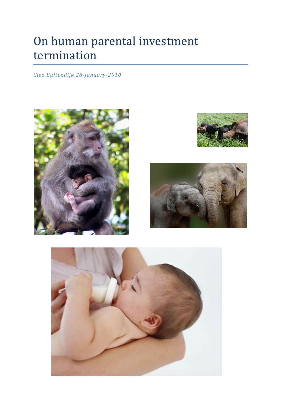# On human parental investment termination

*Cleo Buitendijk 28-January-2010*







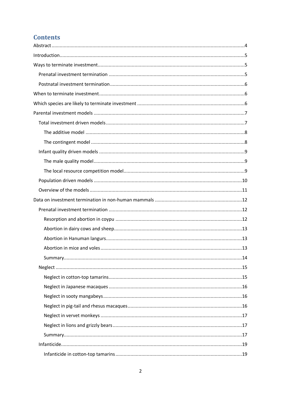# **Contents**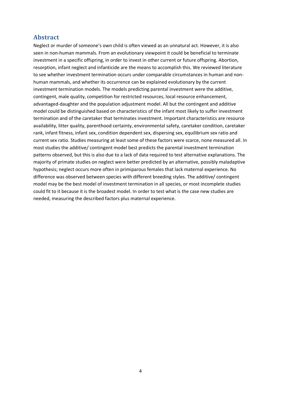## <span id="page-3-0"></span>**Abstract**

Neglect or murder of someone's own child is often viewed as an unnatural act. However, it is also seen in non-human mammals. From an evolutionary viewpoint it could be beneficial to terminate investment in a specific offspring, in order to invest in other current or future offspring. Abortion, resorption, infant neglect and infanticide are the means to accomplish this. We reviewed literature to see whether investment termination occurs under comparable circumstances in human and nonhuman mammals, and whether its occurrence can be explained evolutionary by the current investment termination models. The models predicting parental investment were the additive, contingent, male quality, competition for restricted resources, local resource enhancement, advantaged-daughter and the population adjustment model. All but the contingent and additive model could be distinguished based on characteristics of the infant most likely to suffer investment termination and of the caretaker that terminates investment. Important characteristics are resource availability, litter quality, parenthood certainty, environmental safety, caretaker condition, caretaker rank, infant fitness, infant sex, condition dependent sex, dispersing sex, equilibrium sex ratio and current sex ratio. Studies measuring at least some of these factors were scarce, none measured all. In most studies the additive/ contingent model best predicts the parental investment termination patterns observed, but this is also due to a lack of data required to test alternative explanations. The majority of primate studies on neglect were better predicted by an alternative, possibly maladaptive hypothesis; neglect occurs more often in primiparous females that lack maternal experience. No difference was observed between species with different breeding styles. The additive/ contingent model may be the best model of investment termination in all species, or most incomplete studies could fit to it because it is the broadest model. In order to test what is the case new studies are needed, measuring the described factors plus maternal experience.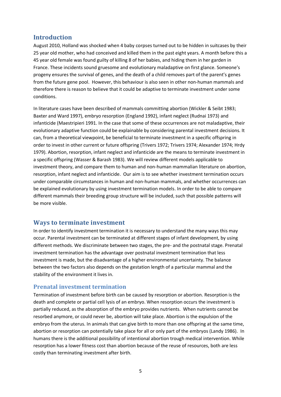## <span id="page-4-0"></span>**Introduction**

August 2010, Holland was shocked when 4 baby corpses turned out to be hidden in suitcases by their 25 year old mother, who had conceived and killed them in the past eight years. A month before this a 45 year old female was found guilty of killing 8 of her babies, and hiding them in her garden in France. These incidents sound gruesome and evolutionary maladaptive on first glance. Someone's progeny ensures the survival of genes, and the death of a child removes part of the parent's genes from the future gene pool. However, this behaviour is also seen in other non-human mammals and therefore there is reason to believe that it could be adaptive to terminate investment under some conditions.

In literature cases have been described of mammals committing abortion (Wickler & Seibt 1983; Baxter and Ward 1997), embryo resorption (England 1992), infant neglect (Rudnai 1973) and infanticide (Maestripieri 1991. In the case that some of these occurrences are not maladaptive, their evolutionary adaptive function could be explainable by considering parental investment decisions. It can, from a theoretical viewpoint, be beneficial to terminate investment in a specific offspring in order to invest in other current or future offspring (Trivers 1972; Trivers 1974; Alexander 1974; Hrdy 1979). Abortion, resorption, infant neglect and infanticide are the means to terminate investment in a specific offspring (Wasser & Barash 1983). We will review different models applicable to investment theory, and compare them to human and non-human mammalian literature on abortion, resorption, infant neglect and infanticide. Our aim is to see whether investment termination occurs under comparable circumstances in human and non-human mammals, and whether occurrences can be explained evolutionary by using investment termination models. In order to be able to compare different mammals their breeding group structure will be included, such that possible patterns will be more visible.

## <span id="page-4-1"></span>**Ways to terminate investment**

In order to identify investment termination it is necessary to understand the many ways this may occur. Parental investment can be terminated at different stages of infant development, by using different methods. We discriminate between two stages, the pre- and the postnatal stage. Prenatal investment termination has the advantage over postnatal investment termination that less investment is made, but the disadvantage of a higher environmental uncertainty. The balance between the two factors also depends on the gestation length of a particular mammal and the stability of the environment it lives in.

## <span id="page-4-2"></span>**Prenatal investment termination**

Termination of investment before birth can be caused by resorption or abortion. Resorption is the death and complete or partial cell lysis of an embryo. When resorption occurs the investment is partially reduced, as the absorption of the embryo provides nutrients. When nutrients cannot be resorbed anymore, or could never be, abortion will take place. Abortion is the expulsion of the embryo from the uterus. In animals that can give birth to more than one offspring at the same time, abortion or resorption can potentially take place for all or only part of the embryos (Landy 1986). In humans there is the additional possibility of intentional abortion trough medical intervention. While resorption has a lower fitness cost than abortion because of the reuse of resources, both are less costly than terminating investment after birth.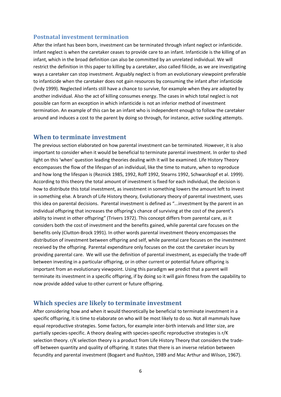## <span id="page-5-0"></span>**Postnatal investment termination**

After the infant has been born, investment can be terminated through infant neglect or infanticide. Infant neglect is when the caretaker ceases to provide care to an infant. Infanticide is the killing of an infant, which in the broad definition can also be committed by an unrelated individual. We will restrict the definition in this paper to killing by a caretaker, also called filicide, as we are investigating ways a caretaker can stop investment. Arguably neglect is from an evolutionary viewpoint preferable to infanticide when the caretaker does not gain resources by consuming the infant after infanticide (hrdy 1999). Neglected infants still have a chance to survive, for example when they are adopted by another individual. Also the act of killing consumes energy. The cases in which total neglect is not possible can form an exception in which infanticide is not an inferior method of investment termination. An example of this can be an infant who is independent enough to follow the caretaker around and induces a cost to the parent by doing so through, for instance, active suckling attempts.

### <span id="page-5-1"></span>**When to terminate investment**

The previous section elaborated on how parental investment can be terminated. However, it is also important to consider when it would be beneficial to terminate parental investment. In order to shed light on this 'when' question leading theories dealing with it will be examined. Life History Theory encompasses the flow of the lifespan of an individual, like the time to mature, when to reproduce and how long the lifespan is (Reznick 1985, 1992, Roff 1992, Stearns 1992, Schwarzkopf et al. 1999). According to this theory the total amount of investment is fixed for each individual, the decision is how to distribute this total investment, as investment in something lowers the amount left to invest in something else. A branch of Life History theory, Evolutionary theory of parental investment, uses this idea on parental decisions. Parental investment is defined as "...investment by the parent in an individual offspring that increases the offspring's chance of surviving at the cost of the parent's ability to invest in other offspring" (Trivers 1972). This concept differs from parental care, as it considers both the cost of investment and the benefits gained, while parental care focuses on the benefits only (Clutton-Brock 1991). In other words parental investment theory encompasses the distribution of investment between offspring and self, while parental care focuses on the investment received by the offspring. Parental expenditure only focuses on the cost the caretaker incurs by providing parental care. We will use the definition of parental investment, as especially the trade-off between investing in a particular offspring, or in other current or potential future offspring is important from an evolutionary viewpoint. Using this paradigm we predict that a parent will terminate its investment in a specific offspring, if by doing so it will gain fitness from the capability to now provide added value to other current or future offspring.

## <span id="page-5-2"></span>**Which species are likely to terminate investment**

After considering how and when it would theoretically be beneficial to terminate investment in a specific offspring, it is time to elaborate on who will be most likely to do so. Not all mammals have equal reproductive strategies. Some factors, for example inter-birth intervals and litter size, are partially species-specific. A theory dealing with species-specific reproductive strategies is r/K selection theory. r/K selection theory is a product from Life History Theory that considers the tradeoff between quantity and quality of offspring. It states that there is an inverse relation between fecundity and parental investment (Bogaert and Rushton, 1989 and Mac Arthur and Wilson, 1967).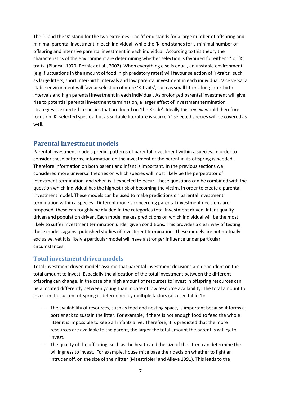The 'r' and the 'K' stand for the two extremes. The 'r' end stands for a large number of offspring and minimal parental investment in each individual, while the 'K' end stands for a minimal number of offspring and intensive parental investment in each individual. According to this theory the characteristics of the environment are determining whether selection is favoured for either 'r' or 'K' traits. (Pianca , 1970; Reznick et al., 2002). When everything else is equal, an unstable environment (e.g. fluctuations in the amount of food, high predatory rates) will favour selection of 'r-traits', such as large litters, short inter-birth intervals and low parental investment in each individual. Vice versa, a stable environment will favour selection of more 'K-traits', such as small litters, long inter-birth intervals and high parental investment in each individual. As prolonged parental investment will give rise to potential parental investment termination, a larger effect of investment termination strategies is expected in species that are found on 'the K side'. Ideally this review would therefore focus on 'K'-selected species, but as suitable literature is scarce 'r'-selected species will be covered as well.

# <span id="page-6-0"></span>**Parental investment models**

Parental investment models predict patterns of parental investment within a species. In order to consider these patterns, information on the investment of the parent in its offspring is needed. Therefore information on both parent and infant is important. In the previous sections we considered more universal theories on which species will most likely be the perpetrator of investment termination, and when is it expected to occur. These questions can be combined with the question which individual has the highest risk of becoming the victim, in order to create a parental investment model. These models can be used to make predictions on parental investment termination within a species. Different models concerning parental investment decisions are proposed, these can roughly be divided in the categories total investment driven, infant quality driven and population driven. Each model makes predictions on which individual will be the most likely to suffer investment termination under given conditions. This provides a clear way of testing these models against published studies of investment termination. These models are not mutually exclusive, yet it is likely a particular model will have a stronger influence under particular circumstances.

## <span id="page-6-1"></span>**Total investment driven models**

Total investment driven models assume that parental investment decisions are dependent on the total amount to invest. Especially the allocation of the total investment between the different offspring can change. In the case of a high amount of resources to invest in offspring resources can be allocated differently between young than in case of low resource availability. The total amount to invest in the current offspring is determined by multiple factors (also see table 1):

- The availability of resources, such as food and nesting space, is important because it forms a bottleneck to sustain the litter. For example, if there is not enough food to feed the whole litter it is impossible to keep all infants alive. Therefore, it is predicted that the more resources are available to the parent, the larger the total amount the parent is willing to invest.
- The quality of the offspring, such as the health and the size of the litter, can determine the willingness to invest. For example, house mice base their decision whether to fight an intruder off, on the size of their litter (Maestripieri and Alleva 1991). This leads to the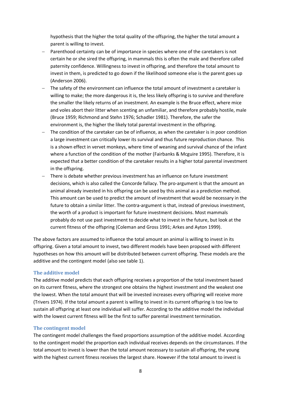hypothesis that the higher the total quality of the offspring, the higher the total amount a parent is willing to invest.

- Parenthood certainty can be of importance in species where one of the caretakers is not certain he or she sired the offspring, in mammals this is often the male and therefore called paternity confidence. Willingness to invest in offspring, and therefore the total amount to invest in them, is predicted to go down if the likelihood someone else is the parent goes up (Anderson 2006).
- The safety of the environment can influence the total amount of investment a caretaker is willing to make; the more dangerous it is, the less likely offspring is to survive and therefore the smaller the likely returns of an investment. An example is the Bruce effect, where mice and voles abort their litter when scenting an unfamiliar, and therefore probably hostile, male (Bruce 1959; Richmond and Stehn 1976; Schadler 1981). Therefore, the safer the environment is, the higher the likely total parental investment in the offspring.
- The condition of the caretaker can be of influence, as when the caretaker is in poor condition a large investment can critically lower its survival and thus future reproduction chance. This is a shown effect in vervet monkeys, where time of weaning and survival chance of the infant where a function of the condition of the mother (Fairbanks & Mcguire 1995). Therefore, it is expected that a better condition of the caretaker results in a higher total parental investment in the offspring.
- There is debate whether previous investment has an influence on future investment decisions, which is also called the Concorde fallacy. The pro-argument is that the amount an animal already invested in his offspring can be used by this animal as a prediction method. This amount can be used to predict the amount of investment that would be necessary in the future to obtain a similar litter. The contra-argument is that, instead of previous investment, the worth of a product is important for future investment decisions. Most mammals probably do not use past investment to decide what to invest in the future, but look at the current fitness of the offspring (Coleman and Gross 1991; Arkes and Ayton 1999).

The above factors are assumed to influence the total amount an animal is willing to invest in its offspring. Given a total amount to invest, two different models have been proposed with different hypotheses on how this amount will be distributed between current offspring. These models are the additive and the contingent model (also see table 1).

#### <span id="page-7-0"></span>**The additive model**

The additive model predicts that each offspring receives a proportion of the total investment based on its current fitness, where the strongest one obtains the highest investment and the weakest one the lowest. When the total amount that will be invested increases every offspring will receive more (Trivers 1974). If the total amount a parent is willing to invest in its current offspring is too low to sustain all offspring at least one individual will suffer. According to the additive model the individual with the lowest current fitness will be the first to suffer parental investment termination.

#### <span id="page-7-1"></span>**The contingent model**

The contingent model challenges the fixed proportions assumption of the additive model. According to the contingent model the proportion each individual receives depends on the circumstances. If the total amount to invest is lower than the total amount necessary to sustain all offspring, the young with the highest current fitness receives the largest share. However if the total amount to invest is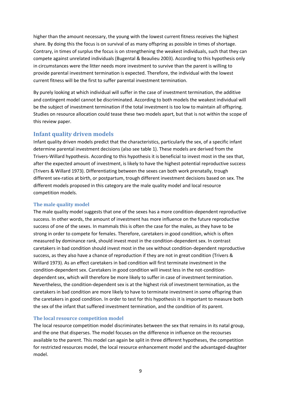higher than the amount necessary, the young with the lowest current fitness receives the highest share. By doing this the focus is on survival of as many offspring as possible in times of shortage. Contrary, in times of surplus the focus is on strengthening the weakest individuals, such that they can compete against unrelated individuals (Bugental & Beaulieu 2003). According to this hypothesis only in circumstances were the litter needs more investment to survive than the parent is willing to provide parental investment termination is expected. Therefore, the individual with the lowest current fitness will be the first to suffer parental investment termination.

By purely looking at which individual will suffer in the case of investment termination, the additive and contingent model cannot be discriminated. According to both models the weakest individual will be the subject of investment termination if the total investment is too low to maintain all offspring. Studies on resource allocation could tease these two models apart, but that is not within the scope of this review paper.

## <span id="page-8-0"></span>**Infant quality driven models**

Infant quality driven models predict that the characteristics, particularly the sex, of a specific infant determine parental investment decisions (also see table 1). These models are derived from the Trivers-Willard hypothesis. According to this hypothesis it is beneficial to invest most in the sex that, after the expected amount of investment, is likely to have the highest potential reproductive success (Trivers & Willard 1973). Differentiating between the sexes can both work prenatally, trough different sex-ratios at birth, or postpartum, trough different investment decisions based on sex. The different models proposed in this category are the male quality model and local resource competition models.

#### <span id="page-8-1"></span>**The male quality model**

The male quality model suggests that one of the sexes has a more condition-dependent reproductive success. In other words, the amount of investment has more influence on the future reproductive success of one of the sexes. In mammals this is often the case for the males, as they have to be strong in order to compete for females. Therefore, caretakers in good condition, which is often measured by dominance rank, should invest most in the condition-dependent sex. In contrast caretakers in bad condition should invest most in the sex without condition-dependent reproductive success, as they also have a chance of reproduction if they are not in great condition (Trivers & Willard 1973). As an effect caretakers in bad condition will first terminate investment in the condition-dependent sex. Caretakers in good condition will invest less in the not-conditiondependent sex, which will therefore be more likely to suffer in case of investment termination. Nevertheless, the condition-dependent sex is at the highest risk of investment termination, as the caretakers in bad condition are more likely to have to terminate investment in some offspring than the caretakers in good condition. In order to test for this hypothesis it is important to measure both the sex of the infant that suffered investment termination, and the condition of its parent.

#### <span id="page-8-2"></span>**The local resource competition model**

The local resource competition model discriminates between the sex that remains in its natal group, and the one that disperses. The model focuses on the difference in influence on the recourses available to the parent. This model can again be split in three different hypotheses, the competition for restricted resources model, the local resource enhancement model and the advantaged-daughter model.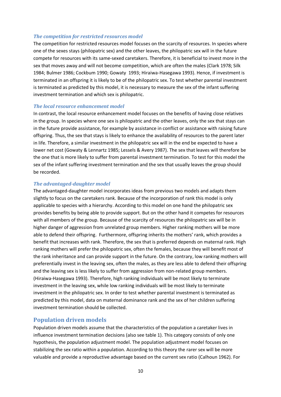#### *The competition for restricted resources model*

The competition for restricted resources model focuses on the scarcity of resources. In species where one of the sexes stays (philopatric sex) and the other leaves, the philopatric sex will in the future compete for resources with its same-sexed caretakers. Therefore, it is beneficial to invest more in the sex that moves away and will not become competition, which are often the males (Clark 1978; Silk 1984; Bulmer 1986; Cockbum 1990; Gowaty 1993; Hiraiwa-Hasegawa 1993). Hence, if investment is terminated in an offspring it is likely to be of the philopatric sex. To test whether parental investment is terminated as predicted by this model, it is necessary to measure the sex of the infant suffering investment termination and which sex is philopatric.

#### *The local resource enhancement model*

In contrast, the local resource enhancement model focuses on the benefits of having close relatives in the group. In species where one sex is philopatric and the other leaves, only the sex that stays can in the future provide assistance, for example by assistance in conflict or assistance with raising future offspring. Thus, the sex that stays is likely to enhance the availability of resources to the parent later in life. Therefore, a similar investment in the philopatric sex will in the end be expected to have a lower net cost (Gowaty & Lennartz 1985; Lessels & Avery 1987). The sex that leaves will therefore be the one that is more likely to suffer from parental investment termination. To test for this model the sex of the infant suffering investment termination and the sex that usually leaves the group should be recorded.

#### *The advantaged-daughter model*

The advantaged-daughter model incorporates ideas from previous two models and adapts them slightly to focus on the caretakers rank. Because of the incorporation of rank this model is only applicable to species with a hierarchy. According to this model on one hand the philopatric sex provides benefits by being able to provide support. But on the other hand it competes for resources with all members of the group. Because of the scarcity of resources the philopatric sex will be in higher danger of aggression from unrelated group members. Higher ranking mothers will be more able to defend their offspring. Furthermore, offspring inherits the mothers' rank, which provides a benefit that increases with rank. Therefore, the sex that is preferred depends on maternal rank. High ranking mothers will prefer the philopatric sex, often the females, because they will benefit most of the rank inheritance and can provide support in the future. On the contrary, low ranking mothers will preferentially invest in the leaving sex, often the males, as they are less able to defend their offspring and the leaving sex is less likely to suffer from aggression from non-related group members. (Hiraiwa-Hasegawa 1993). Therefore, high ranking individuals will be most likely to terminate investment in the leaving sex, while low ranking individuals will be most likely to terminate investment in the philopatric sex. In order to test whether parental investment is terminated as predicted by this model, data on maternal dominance rank and the sex of her children suffering investment termination should be collected.

## <span id="page-9-0"></span>**Population driven models**

Population driven models assume that the characteristics of the population a caretaker lives in influence investment termination decisions (also see table 1). This category consists of only one hypothesis, the population adjustment model. The population adjustment model focuses on stabilizing the sex ratio within a population. According to this theory the rarer sex will be more valuable and provide a reproductive advantage based on the current sex ratio (Calhoun 1962). For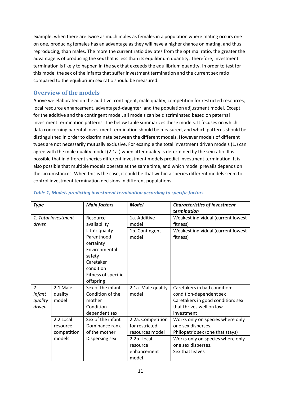example, when there are twice as much males as females in a population where mating occurs one on one, producing females has an advantage as they will have a higher chance on mating, and thus reproducing, than males. The more the current ratio deviates from the optimal ratio, the greater the advantage is of producing the sex that is less than its equilibrium quantity. Therefore, investment termination is likely to happen in the sex that exceeds the equilibrium quantity. In order to test for this model the sex of the infants that suffer investment termination and the current sex ratio compared to the equilibrium sex ratio should be measured.

## <span id="page-10-0"></span>**Overview of the models**

Above we elaborated on the additive, contingent, male quality, competition for restricted resources, local resource enhancement, advantaged-daughter, and the population adjustment model. Except for the additive and the contingent model, all models can be discriminated based on paternal investment termination patterns. The below table summarizes these models. It focuses on which data concerning parental investment termination should be measured, and which patterns should be distinguished in order to discriminate between the different models. However models of different types are not necessarily mutually exclusive. For example the total investment driven models (1.) can agree with the male quality model (2.1a.) when litter quality is determined by the sex ratio. It is possible that in different species different investment models predict investment termination. It is also possible that multiple models operate at the same time, and which model prevails depends on the circumstances. When this is the case, it could be that within a species different models seem to control investment termination decisions in different populations.

| <b>Type</b>         |             | <b>Main factors</b> | <b>Model</b>       | <b>Characteristics of investment</b> |
|---------------------|-------------|---------------------|--------------------|--------------------------------------|
|                     |             |                     |                    | termination                          |
| 1. Total investment |             | Resource            | 1a. Additive       | Weakest individual (current lowest   |
| driven              |             | availability        | model              | fitness)                             |
|                     |             | Litter quality      | 1b. Contingent     | Weakest individual (current lowest   |
|                     |             | Parenthood          | model              | fitness)                             |
|                     |             | certainty           |                    |                                      |
|                     |             | Environmental       |                    |                                      |
|                     |             | safety              |                    |                                      |
|                     |             | Caretaker           |                    |                                      |
|                     |             | condition           |                    |                                      |
|                     |             | Fitness of specific |                    |                                      |
|                     |             | offspring           |                    |                                      |
| 2.                  | 2.1 Male    | Sex of the infant   | 2.1a. Male quality | Caretakers in bad condition:         |
| <b>Infant</b>       | quality     | Condition of the    | model              | condition-dependent sex              |
| quality             | model       | mother              |                    | Caretakers in good condition: sex    |
| driven              |             | Condition           |                    | that thrives well on low             |
|                     |             | dependent sex       |                    | investment                           |
|                     | 2.2 Local   | Sex of the infant   | 2.2a. Competition  | Works only on species where only     |
|                     | resource    | Dominance rank      | for restricted     | one sex disperses.                   |
|                     | competition | of the mother       | resources model    | Philopatric sex (one that stays)     |
|                     | models      | Dispersing sex      | 2.2b. Local        | Works only on species where only     |
|                     |             |                     | resource           | one sex disperses.                   |
|                     |             |                     | enhancement        | Sex that leaves                      |
|                     |             |                     | model              |                                      |

#### *Table 1, Models predicting investment termination according to specific factors*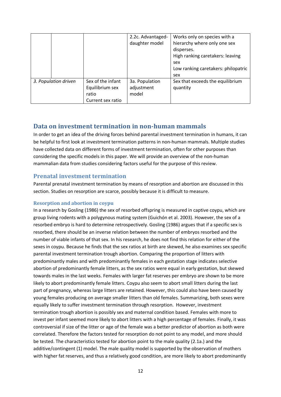|                      |                                                                    | 2.2c. Advantaged-<br>daughter model   | Works only on species with a<br>hierarchy where only one sex<br>disperses.<br>High ranking caretakers: leaving<br>sex<br>Low ranking caretakers: philopatric<br>sex |
|----------------------|--------------------------------------------------------------------|---------------------------------------|---------------------------------------------------------------------------------------------------------------------------------------------------------------------|
| 3. Population driven | Sex of the infant<br>Equilibrium sex<br>ratio<br>Current sex ratio | 3a. Population<br>adjustment<br>model | Sex that exceeds the equilibrium<br>quantity                                                                                                                        |

## <span id="page-11-0"></span>**Data on investment termination in non-human mammals**

In order to get an idea of the driving forces behind parental investment termination in humans, it can be helpful to first look at investment termination patterns in non-human mammals. Multiple studies have collected data on different forms of investment termination, often for other purposes than considering the specific models in this paper. We will provide an overview of the non-human mammalian data from studies considering factors useful for the purpose of this review.

## <span id="page-11-1"></span>**Prenatal investment termination**

Parental prenatal investment termination by means of resorption and abortion are discussed in this section. Studies on resorption are scarce, possibly because it is difficult to measure.

#### <span id="page-11-2"></span>**Resorption and abortion in coypu**

In a research by Gosling (1986) the sex of resorbed offspring is measured in captive coypu, which are group living rodents with a polygynous mating system (Guichón et al. 2003). However, the sex of a resorbed embryo is hard to determine retrospectively. Gosling (1986) argues that if a specific sex is resorbed, there should be an inverse relation between the number of embryos resorbed and the number of viable infants of that sex. In his research, he does not find this relation for either of the sexes in coypu. Because he finds that the sex ratios at birth are skewed, he also examines sex specific parental investment termination trough abortion. Comparing the proportion of litters with predominantly males and with predominantly females in each gestation stage indicates selective abortion of predominantly female litters, as the sex ratios were equal in early gestation, but skewed towards males in the last weeks. Females with larger fat reserves per embryo are shown to be more likely to abort predominantly female litters. Coypu also seem to abort small litters during the last part of pregnancy, whereas large litters are retained. However, this could also have been caused by young females producing on average smaller litters than old females. Summarizing, both sexes were equally likely to suffer investment termination through resorption. However, investment termination trough abortion is possibly sex and maternal condition based. Females with more to invest per infant seemed more likely to abort litters with a high percentage of females. Finally, it was controversial if size of the litter or age of the female was a better predictor of abortion as both were correlated. Therefore the factors tested for resorption do not point to any model, and more should be tested. The characteristics tested for abortion point to the male quality (2.1a.) and the additive/contingent (1) model. The male quality model is supported by the observation of mothers with higher fat reserves, and thus a relatively good condition, are more likely to abort predominantly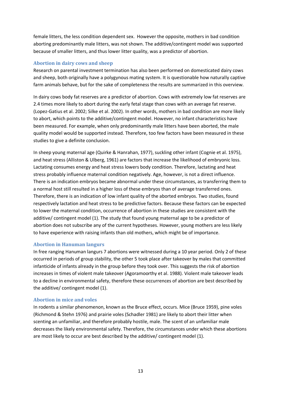female litters, the less condition dependent sex. However the opposite, mothers in bad condition aborting predominantly male litters, was not shown. The additive/contingent model was supported because of smaller litters, and thus lower litter quality, was a predictor of abortion.

## <span id="page-12-0"></span>**Abortion in dairy cows and sheep**

Research on parental investment termination has also been performed on domesticated dairy cows and sheep, both originally have a polygynous mating system. It is questionable how naturally captive farm animals behave, but for the sake of completeness the results are summarized in this overview.

In dairy cows body fat reserves are a predictor of abortion. Cows with extremely low fat reserves are 2.4 times more likely to abort during the early fetal stage than cows with an average fat reserve. (Lopez-Gatius et al. 2002; Silke et al. 2002). In other words, mothers in bad condition are more likely to abort, which points to the additive/contingent model. However, no infant characteristics have been measured. For example, when only predominantly male litters have been aborted, the male quality model would be supported instead. Therefore, too few factors have been measured in these studies to give a definite conclusion.

In sheep young maternal age (Quirke & Hanrahan, 1977), suckling other infant (Cognie et al. 1975), and heat stress (Alliston & Ulberg, 1961) are factors that increase the likelihood of embryonic loss. Lactating consumes energy and heat stress lowers body condition. Therefore, lactating and heat stress probably influence maternal condition negatively. Age, however, is not a direct influence. There is an indication embryos became abnormal under these circumstances, as transferring them to a normal host still resulted in a higher loss of these embryos than of average transferred ones. Therefore, there is an indication of low infant quality of the aborted embryos. Two studies, found respectively lactation and heat stress to be predictive factors. Because these factors can be expected to lower the maternal condition, occurrence of abortion in these studies are consistent with the additive/ contingent model (1). The study that found young maternal age to be a predictor of abortion does not subscribe any of the current hypotheses. However, young mothers are less likely to have experience with raising infants than old mothers, which might be of importance.

#### <span id="page-12-1"></span>**Abortion in Hanuman langurs**

In free ranging Hanuman langurs 7 abortions were witnessed during a 10 year period. Only 2 of these occurred in periods of group stability, the other 5 took place after takeover by males that committed infanticide of infants already in the group before they took over. This suggests the risk of abortion increases in times of violent male takeover (Agoramoorthy et al. 1988). Violent male takeover leads to a decline in environmental safety, therefore these occurrences of abortion are best described by the additive/ contingent model (1).

#### <span id="page-12-2"></span>**Abortion in mice and voles**

In rodents a similar phenomenon, known as the Bruce effect, occurs. Mice (Bruce 1959), pine voles (Richmond & Stehn 1976) and prairie voles (Schadler 1981) are likely to abort their litter when scenting an unfamiliar, and therefore probably hostile, male. The scent of an unfamiliar male decreases the likely environmental safety. Therefore, the circumstances under which these abortions are most likely to occur are best described by the additive/ contingent model (1).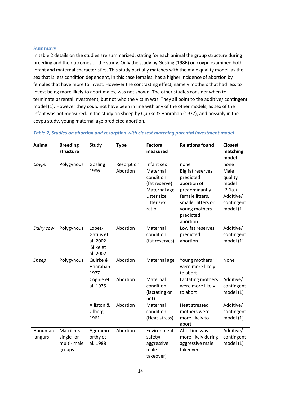#### <span id="page-13-0"></span>**Summary**

In table 2 details on the studies are summarized, stating for each animal the group structure during breeding and the outcomes of the study. Only the study by Gosling (1986) on coypu examined both infant and maternal characteristics. This study partially matches with the male quality model, as the sex that is less condition dependent, in this case females, has a higher incidence of abortion by females that have more to invest. However the contrasting effect, namely mothers that had less to invest being more likely to abort males, was not shown. The other studies consider when to terminate parental investment, but not who the victim was. They all point to the additive/ contingent model (1). However they could not have been in line with any of the other models, as sex of the infant was not measured. In the study on sheep by Quirke & Hanrahan (1977), and possibly in the coypu study, young maternal age predicted abortion.

| <b>Animal</b> | <b>Breeding</b><br>structure | Study      | <b>Type</b> | <b>Factors</b><br>measured | <b>Relations found</b> | <b>Closest</b><br>matching |
|---------------|------------------------------|------------|-------------|----------------------------|------------------------|----------------------------|
|               |                              |            |             |                            |                        | model                      |
| Coypu         | Polygynous                   | Gosling    | Resorption  | Infant sex                 | none                   | none                       |
|               |                              | 1986       | Abortion    | Maternal                   | Big fat reserves       | Male                       |
|               |                              |            |             | condition                  | predicted              | quality                    |
|               |                              |            |             | (fat reserve)              | abortion of            | model                      |
|               |                              |            |             | Maternal age               | predominantly          | (2.1a.)                    |
|               |                              |            |             | Litter size                | female litters,        | Additive/                  |
|               |                              |            |             | Litter sex                 | smaller litters or     | contingent                 |
|               |                              |            |             | ratio                      | young mothers          | model (1)                  |
|               |                              |            |             |                            | predicted              |                            |
|               |                              |            |             |                            | abortion               |                            |
| Dairy cow     | Polygynous                   | Lopez-     | Abortion    | Maternal                   | Low fat reserves       | Additive/                  |
|               |                              | Gatius et  |             | condition                  | predicted              | contingent                 |
|               |                              | al. 2002   |             | (fat reserves)             | abortion               | model (1)                  |
|               |                              | Silke et   |             |                            |                        |                            |
|               |                              | al. 2002   |             |                            |                        |                            |
| <b>Sheep</b>  | Polygynous                   | Quirke &   | Abortion    | Maternal age               | Young mothers          | None                       |
|               |                              | Hanrahan   |             |                            | were more likely       |                            |
|               |                              | 1977       |             |                            | to abort               |                            |
|               |                              | Cognie et  | Abortion    | Maternal                   | Lactating mothers      | Additive/                  |
|               |                              | al. 1975   |             | condition                  | were more likely       | contingent                 |
|               |                              |            |             | (lactating or<br>not)      | to abort               | model (1)                  |
|               |                              | Alliston & | Abortion    | Maternal                   | Heat stressed          | Additive/                  |
|               |                              | Ulberg     |             | condition                  | mothers were           | contingent                 |
|               |                              | 1961       |             | (Heat-stress)              | more likely to         | model (1)                  |
|               |                              |            |             |                            | abort                  |                            |
| Hanuman       | Matrilineal                  | Agoramo    | Abortion    | Environment                | Abortion was           | Additive/                  |
| langurs       | single- or                   | orthy et   |             | safety(                    | more likely during     | contingent                 |
|               | multi-male                   | al. 1988   |             | aggressive                 | aggressive male        | model (1)                  |
|               | groups                       |            |             | male                       | takeover               |                            |
|               |                              |            |             | takeover)                  |                        |                            |

#### *Table 2, Studies on abortion and resorption with closest matching parental investment model*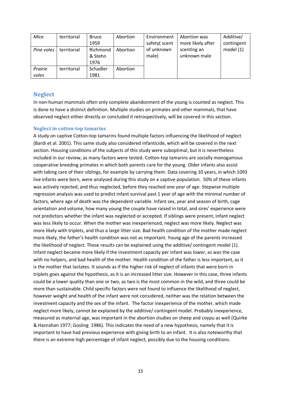| Mice       | territorial | <b>Bruce</b><br>1959        | Abortion | Environment<br>safety(scent | Abortion was<br>more likely after | Additive/<br>contingent |
|------------|-------------|-----------------------------|----------|-----------------------------|-----------------------------------|-------------------------|
| Pine voles | territorial | Richmond<br>& Stehn<br>1976 | Abortion | of unknown<br>male)         | scenting an<br>unknown male       | model $(1)$             |
| Prairie    | territorial | Schadler                    | Abortion |                             |                                   |                         |
| voles      |             | 1981                        |          |                             |                                   |                         |

## <span id="page-14-0"></span>**Neglect**

In non-human mammals often only complete abandonment of the young is counted as neglect. This is done to have a distinct definition. Multiple studies on primates and other mammals, that have observed neglect either directly or concluded it retrospectively, will be covered in this section.

#### <span id="page-14-1"></span>**Neglect in cotton-top tamarins**

A study on captive Cotton-top tamarins found multiple factors influencing the likelihood of neglect (Bardi et al. 2001). This same study also considered infanticide, which will be covered in the next section. Housing conditions of the subjects of this study were suboptimal, but it is nevertheless included in our review, as many factors were tested. Cotton-top tamarins are socially monogamous cooperative breeding primates in which both parents care for the young. Older infants also assist with taking care of their siblings, for example by carrying them. Data covering 10 years, in which 1093 live infants were born, were analysed during this study on a captive population. 50% of these infants was actively rejected, and thus neglected, before they reached one year of age. Stepwise multiple regression analysis was used to predict infant survival past 1 year of age with the minimal number of factors, where age of death was the dependent variable. Infant sex, year and season of birth, cage orientation and volume, how many young the couple have raised in total, and sires' experience were not predictors whether the infant was neglected or accepted. If siblings were present, infant neglect was less likely to occur. When the mother was inexperienced, neglect was more likely. Neglect was more likely with triplets, and thus a large litter size. Bad health condition of the mother made neglect more likely, the father's health condition was not as important. Young age of the parents increased the likelihood of neglect. These results can be explained using the additive/ contingent model (1). Infant neglect became more likely if the investment capacity per infant was lower, as was the case with no helpers, and bad health of the mother. Health condition of the father is less important, as it is the mother that lactates. It sounds as if the higher risk of neglect of infants that were born in triplets goes against the hypothesis, as it is an increased litter size. However in this case, three infants could be a lower quality than one or two, as two is the most common in the wild, and three could be more than sustainable. Child specific factors were not found to influence the likelihood of neglect, however weight and health of the infant were not considered, neither was the relation between the investment capacity and the sex of the infant. The factor inexperience of the mother, which made neglect more likely, cannot be explained by the additive/ contingent model. Probably inexperience, measured as maternal age, was important in the abortion studies on sheep and coypu as well (Quirke & Hanrahan 1977; Gosling 1986). This indicates the need of a new hypothesis, namely that it is important to have had previous experience with giving birth to an infant. It is also noteworthy that there is an extreme high percentage of infant neglect, possibly due to the housing conditions.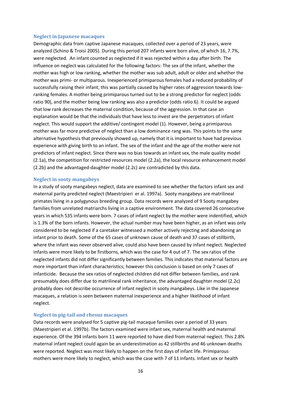#### <span id="page-15-0"></span>**Neglect in Japanese macaques**

Demographic data from captive Japanese macaques, collected over a period of 23 years, were analyzed (Schino & Troisi 2005). During this period 207 infants were born alive, of which 16, 7.7%, were neglected. An infant counted as neglected if it was rejected within a day after birth. The influence on neglect was calculated for the following factors: The sex of the infant, whether the mother was high or low ranking, whether the mother was sub adult, adult or older and whether the mother was primi- or multiparous. Inexperienced primiparous females had a reduced probability of successfully raising their infant; this was partially caused by higher rates of aggression towards lowranking females. A mother being primiparous turned out to be a strong predictor for neglect (odds ratio 90), and the mother being low ranking was also a predictor (odds ratio 6). It could be argued that low rank decreases the maternal condition, because of the aggression. In that case an explanation would be that the individuals that have less to invest are the perpetrators of infant neglect. This would support the additive/ contingent model (1). However, being a primiparous mother was far more predictive of neglect than a low dominance rang was. This points to the same alternative hypothesis that previously showed up, namely that it is important to have had previous experience with giving birth to an infant. The sex of the infant and the age of the mother were not predictors of infant neglect. Since there was no bias towards an infant sex, the male quality model (2.1a), the competition for restricted resources model (2.2a), the local resource enhancement model (2.2b) and the advantaged-daughter model (2.2c) are contradicted by this data.

#### <span id="page-15-1"></span>**Neglect in sooty mangabeys**

In a study of sooty mangabeys neglect, data are examined to see whether the factors infant sex and maternal parity predicted neglect (Maestripieri er al. 1997a). Sooty mangabeys are matrilineal primates living in a polygynous breeding group. Data records were analyzed of 9 Sooty mangabey families from unrelated matriarchs living in a captive environment. The data covered 26 consecutive years in which 535 infants were born. 7 cases of infant neglect by the mother were indentified, which is 1.3% of the born infants. However, the actual number may have been higher, as an infant was only considered to be neglected if a caretaker witnessed a mother actively rejecting and abandoning an infant prior to death. Some of the 65 cases of unknown cause of death and 37 cases of stillbirth, where the infant was never observed alive, could also have been caused by infant neglect. Neglected infants were more likely to be firstborns, which was the case for 4 out of 7. The sex ratios of the neglected infants did not differ significantly between families. This indicates that maternal factors are more important than infant characteristics; however this conclusion is based on only 7 cases of infanticide. Because the sex ratios of neglected children did not differ between families, and rank presumably does differ due to matrilineal rank inheritance, the advantaged daughter model (2.2c) probably does not describe occurrence of infant neglect in sooty mangabeys. Like in the Japanese macaques, a relation is seen between maternal inexperience and a higher likelihood of infant neglect.

#### <span id="page-15-2"></span>**Neglect in pig-tail and rhesus macaques**

Data records were analysed for 5 captive pig-tail macaque families over a period of 33 years (Maestripieri et al. 1997b). The factors examined were infant sex, maternal health and maternal experience. Of the 394 infants born 11 were reported to have died from maternal neglect. This 2.8% maternal infant neglect could again be an underestimation as 42 stillbirths and 46 unknown deaths were reported. Neglect was most likely to happen on the first days of infant life. Primiparous mothers were more likely to neglect, which was the case with 7 of 11 infants. Infant sex or health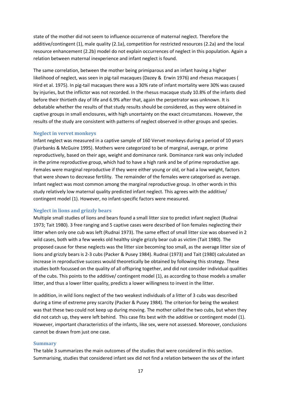state of the mother did not seem to influence occurrence of maternal neglect. Therefore the additive/contingent (1), male quality (2.1a), competition for restricted resources (2.2a) and the local resource enhancement (2.2b) model do not explain occurrences of neglect in this population. Again a relation between maternal inexperience and infant neglect is found.

The same correlation, between the mother being primiparous and an infant having a higher likelihood of neglect, was seen in pig-tail macaques (Dazey & Erwin 1976) and rhesus macaques ( Hird et al. 1975). In pig-tail macaques there was a 30% rate of infant mortality were 30% was caused by injuries, but the inflictor was not recorded. In the rhesus macaque study 10.8% of the infants died before their thirtieth day of life and 6.9% after that, again the perpetrator was unknown. It is debatable whether the results of that study results should be considered, as they were obtained in captive groups in small enclosures, with high uncertainty on the exact circumstances. However, the results of the study are consistent with patterns of neglect observed in other groups and species.

#### <span id="page-16-0"></span>**Neglect in vervet monkeys**

Infant neglect was measured in a captive sample of 160 Vervet monkeys during a period of 10 years (Fairbanks & McGuire 1995). Mothers were categorized to be of marginal, average, or prime reproductively, based on their age, weight and dominance rank. Dominance rank was only included in the prime reproductive group, which had to have a high rank and be of prime reproductive age. Females were marginal reproductive if they were either young or old, or had a low weight, factors that were shown to decrease fertility. The remainder of the females were categorised as average. Infant neglect was most common among the marginal reproductive group. In other words in this study relatively low maternal quality predicted infant neglect. This agrees with the additive/ contingent model (1). However, no infant-specific factors were measured.

#### <span id="page-16-1"></span>**Neglect in lions and grizzly bears**

Multiple small studies of lions and bears found a small litter size to predict infant neglect (Rudnai 1973; Tait 1980). 3 free ranging and 5 captive cases were described of lion females neglecting their litter when only one cub was left (Rudnai 1973). The same effect of small litter size was observed in 2 wild cases, both with a few weeks old healthy single grizzly bear cub as victim (Tait 1980). The proposed cause for these neglects was the litter size becoming too small, as the average litter size of lions and grizzly bears is 2-3 cubs (Packer & Pusey 1984). Rudnai (1973) and Tait (1980) calculated an increase in reproductive success would theoretically be obtained by following this strategy. These studies both focussed on the quality of all offspring together, and did not consider individual qualities of the cubs. This points to the additive/ contingent model (1), as according to those models a smaller litter, and thus a lower litter quality, predicts a lower willingness to invest in the litter.

In addition, in wild lions neglect of the two weakest individuals of a litter of 3 cubs was described during a time of extreme prey scarcity (Packer & Pusey 1984). The criterion for being the weakest was that these two could not keep up during moving. The mother called the two cubs, but when they did not catch up, they were left behind. This case fits best with the additive or contingent model (1). However, important characteristics of the infants, like sex, were not assessed. Moreover, conclusions cannot be drawn from just one case.

#### <span id="page-16-2"></span>**Summary**

The table 3 summarizes the main outcomes of the studies that were considered in this section. Summarising, studies that considered infant sex did not find a relation between the sex of the infant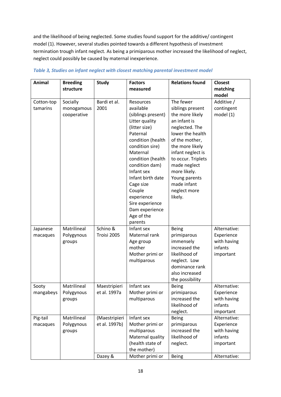and the likelihood of being neglected. Some studies found support for the additive/ contingent model (1). However, several studies pointed towards a different hypothesis of investment termination trough infant neglect. As being a primiparous mother increased the likelihood of neglect, neglect could possibly be caused by maternal inexperience.

| <b>Animal</b> | <b>Breeding</b> | <b>Study</b>  | <b>Factors</b>                    | <b>Relations found</b> | <b>Closest</b> |
|---------------|-----------------|---------------|-----------------------------------|------------------------|----------------|
|               | structure       |               | measured                          |                        | matching       |
|               |                 |               |                                   |                        | model          |
| Cotton-top    | Socially        | Bardi et al.  | Resources                         | The fewer              | Additive /     |
| tamarins      | monogamous      | 2001          | available                         | siblings present       | contingent     |
|               | cooperative     |               | (siblings present)                | the more likely        | model (1)      |
|               |                 |               | Litter quality                    | an infant is           |                |
|               |                 |               | (litter size)                     | neglected. The         |                |
|               |                 |               | Paternal                          | lower the health       |                |
|               |                 |               | condition (health                 | of the mother,         |                |
|               |                 |               | condition sire)                   | the more likely        |                |
|               |                 |               | Maternal                          | infant neglect is      |                |
|               |                 |               | condition (health                 | to occur. Triplets     |                |
|               |                 |               | condition dam)                    | made neglect           |                |
|               |                 |               | Infant sex                        | more likely.           |                |
|               |                 |               | Infant birth date                 | Young parents          |                |
|               |                 |               | Cage size                         | made infant            |                |
|               |                 |               | Couple                            | neglect more           |                |
|               |                 |               | experience                        | likely.                |                |
|               |                 |               | Sire experience<br>Dam experience |                        |                |
|               |                 |               | Age of the                        |                        |                |
|               |                 |               | parents                           |                        |                |
| Japanese      | Matrilineal     | Schino &      | Infant sex                        | Being                  | Alternative:   |
| macaques      | Polygynous      | Troisi 2005   | Maternal rank                     | primiparous            | Experience     |
|               | groups          |               | Age group                         | immensely              | with having    |
|               |                 |               | mother                            | increased the          | infants        |
|               |                 |               | Mother primi or                   | likelihood of          | important      |
|               |                 |               | multiparous                       | neglect. Low           |                |
|               |                 |               |                                   | dominance rank         |                |
|               |                 |               |                                   | also increased         |                |
|               |                 |               |                                   | the possibility        |                |
| Sooty         | Matrilineal     | Maestripieri  | Infant sex                        | <b>Being</b>           | Alternative:   |
| mangabeys     | Polygynous      | et al. 1997a  | Mother primi or                   | primiparous            | Experience     |
|               | groups          |               | multiparous                       | increased the          | with having    |
|               |                 |               |                                   | likelihood of          | infants        |
|               |                 |               |                                   | neglect.               | important      |
| Pig-tail      | Matrilineal     | (Maestripieri | Infant sex                        | Being                  | Alternative:   |
| macaques      | Polygynous      | et al. 1997b) | Mother primi or                   | primiparous            | Experience     |
|               | groups          |               | multiparous                       | increased the          | with having    |
|               |                 |               | Maternal quality                  | likelihood of          | infants        |
|               |                 |               | (health state of                  | neglect.               | important      |
|               |                 |               | the mother)                       |                        |                |
|               |                 | Dazey &       | Mother primi or                   | <b>Being</b>           | Alternative:   |

## *Table 3, Studies on infant neglect with closest matching parental investment model*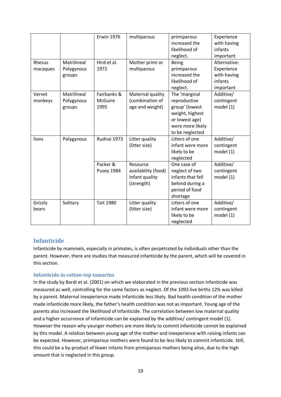|          |             | <b>Erwin 1976</b> | multiparous         | primiparous       | Experience   |
|----------|-------------|-------------------|---------------------|-------------------|--------------|
|          |             |                   |                     | increased the     | with having  |
|          |             |                   |                     | likelihood of     | infants      |
|          |             |                   |                     |                   |              |
|          |             |                   |                     | neglect.          | important    |
| Rhesus   | Matrilineal | Hird et al.       | Mother primi or     | <b>Being</b>      | Alternative: |
| macaques | Polygynous  | 1972              | multiparous         | primiparous       | Experience   |
|          | groups      |                   |                     | increased the     | with having  |
|          |             |                   |                     | likelihood of     | infants      |
|          |             |                   |                     | neglect.          | important    |
| Vervet   | Matrilineal | Fairbanks &       | Maternal quality    | The 'marginal     | Additive/    |
| monkeys  | Polygynous  | <b>McGuire</b>    | (combination of     | reproductive      | contingent   |
|          | groups      | 1995              | age and weight)     | group' (lowest    | model (1)    |
|          |             |                   |                     | weight, highest   |              |
|          |             |                   |                     | or lowest age)    |              |
|          |             |                   |                     | were more likely  |              |
|          |             |                   |                     | to be neglected   |              |
| lions    | Polygynous  | Rudnai 1973       | Litter quality      | Litters of one    | Additive/    |
|          |             |                   | (litter size)       | infant were more  | contingent   |
|          |             |                   |                     |                   |              |
|          |             |                   |                     | likely to be      | model (1)    |
|          |             |                   |                     | neglected         |              |
|          |             | Packer &          | Resource            | One case of       | Additive/    |
|          |             | Pusey 1984        | availability (food) | neglect of two    | contingent   |
|          |             |                   | Infant quality      | infants that fell | model (1)    |
|          |             |                   | (strength)          | behind during a   |              |
|          |             |                   |                     | period of food    |              |
|          |             |                   |                     | shortage          |              |
| Grizzly  | Solitary    | <b>Tait 1980</b>  | Litter quality      | Litters of one    | Additive/    |
| bears    |             |                   | (litter size)       | infant were more  | contingent   |
|          |             |                   |                     | likely to be      | model (1)    |
|          |             |                   |                     | neglected         |              |

## <span id="page-18-0"></span>**Infanticide**

Infanticide by mammels, especially in primates, is often perpetrated by individuals other than the parent. However, there are studies that measured infanticide by the parent, which will be covered in this section.

#### <span id="page-18-1"></span>**Infanticide in cotton-top tamarins**

In the study by Bardi et al. (2001) on which we elaborated in the previous section infanticide was measured as well, controlling for the same factors as neglect. Of the 1093 live births 12% was killed by a parent. Maternal inexperience made infanticide less likely. Bad health condition of the mother made infanticide more likely, the father's health condition was not as important. Young age of the parents also increased the likelihood of infanticide. The correlation between low maternal quality and a higher occurrence of infanticide can be explained by the additive/ contingent model (1). However the reason why younger mothers are more likely to commit infanticide cannot be explained by this model. A relation between young age of the mother and inexperience with raising infants can be expected. However, primiparous mothers were found to be less likely to commit infanticide. Still, this could be a by-product of fewer infants from primiparous mothers being alive, due to the high amount that is neglected in this group.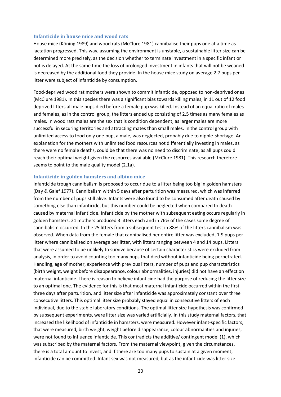#### <span id="page-19-0"></span>**Infanticide in house mice and wood rats**

House mice (Köning 1989) and wood rats (McClure 1981) cannibalise their pups one at a time as lactation progressed. This way, assuming the environment is unstable, a sustainable litter size can be determined more precisely, as the decision whether to terminate investment in a specific infant or not is delayed. At the same time the loss of prolonged investment in infants that will not be weaned is decreased by the additional food they provide. In the house mice study on average 2.7 pups per litter were subject of infanticide by consumption.

Food-deprived wood rat mothers were shown to commit infanticide, opposed to non-deprived ones (McClure 1981). In this species there was a significant bias towards killing males, in 11 out of 12 food deprived litters all male pups died before a female pup was killed. Instead of an equal ratio of males and females, as in the control group, the litters ended up consisting of 2.5 times as many females as males. In wood rats males are the sex that is condition dependent, as larger males are more successful in securing territories and attracting mates than small males. In the control group with unlimited access to food only one pup, a male, was neglected, probably due to nipple-shortage. An explanation for the mothers with unlimited food resources not differentially investing in males, as there were no female deaths, could be that there was no need to discriminate, as all pups could reach their optimal weight given the resources available (McClure 1981). This research therefore seems to point to the male quality model (2.1a).

#### <span id="page-19-1"></span>**Infanticide in golden hamsters and albino mice**

Infanticide trough cannibalism is proposed to occur due to a litter being too big in golden hamsters (Day & Galef 1977). Cannibalism within 5 days after parturition was measured, which was inferred from the number of pups still alive. Infants were also found to be consumed after death caused by something else than infanticide, but this number could be neglected when compared to death caused by maternal infanticide. Infanticide by the mother with subsequent eating occurs regularly in golden hamsters. 21 mothers produced 3 litters each and in 76% of the cases some degree of cannibalism occurred. In the 25 litters from a subsequent test in 88% of the litters cannibalism was observed. When data from the female that cannibalised her entire litter was excluded, 1.9 pups per litter where cannibalised on average per litter, with litters ranging between 4 and 14 pups. Litters that were assumed to be unlikely to survive because of certain characteristics were excluded from analysis, in order to avoid counting too many pups that died without infanticide being perpetrated. Handling, age of mother, experience with previous litters, number of pups and pup characteristics (birth weight, weight before disappearance, colour abnormalities, injuries) did not have an effect on maternal infanticide. There is reason to believe infanticide had the purpose of reducing the litter size to an optimal one. The evidence for this is that most maternal infanticide occurred within the first three days after parturition, and litter size after infanticide was approximately constant over three consecutive litters. This optimal litter size probably stayed equal in consecutive litters of each individual, due to the stable laboratory conditions. The optimal litter size hypothesis was confirmed by subsequent experiments, were litter size was varied artificially. In this study maternal factors, that increased the likelihood of infanticide in hamsters, were measured. However infant-specific factors, that were measured, birth weight, weight before disappearance, colour abnormalities and injuries, were not found to influence infanticide. This contradicts the additive/ contingent model (1), which was subscribed by the maternal factors. From the maternal viewpoint, given the circumstances, there is a total amount to invest, and if there are too many pups to sustain at a given moment, infanticide can be committed. Infant sex was not measured, but as the infanticide was litter size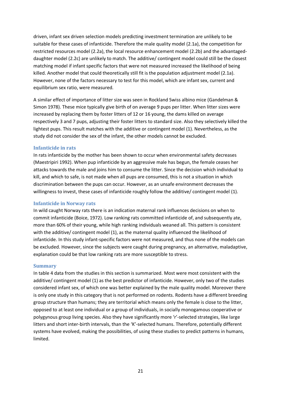driven, infant sex driven selection models predicting investment termination are unlikely to be suitable for these cases of infanticide. Therefore the male quality model (2.1a), the competition for restricted resources model (2.2a), the local resource enhancement model (2.2b) and the advantageddaughter model (2.2c) are unlikely to match. The additive/ contingent model could still be the closest matching model if infant specific factors that were not measured increased the likelihood of being killed. Another model that could theoretically still fit is the population adjustment model (2.1a). However, none of the factors necessary to test for this model, which are infant sex, current and equilibrium sex ratio, were measured.

A similar effect of importance of litter size was seen in Rockland Swiss albino mice (Gandelman & Simon 1978). These mice typically give birth of on average 9 pups per litter. When litter sizes were increased by replacing them by foster litters of 12 or 16 young, the dams killed on average respectively 3 and 7 pups, adjusting their foster litters to standard size. Also they selectively killed the lightest pups. This result matches with the additive or contingent model (1). Nevertheless, as the study did not consider the sex of the infant, the other models cannot be excluded.

#### <span id="page-20-0"></span>**Infanticide in rats**

In rats infanticide by the mother has been shown to occur when environmental safety decreases (Maestripiri 1992). When pup infanticide by an aggressive male has begun, the female ceases her attacks towards the male and joins him to consume the litter. Since the decision which individual to kill, and which to safe, is not made when all pups are consumed, this is not a situation in which discrimination between the pups can occur. However, as an unsafe environment decreases the willingness to invest, these cases of infanticide roughly follow the additive/ contingent model (1).

#### <span id="page-20-1"></span>**Infanticide in Norway rats**

In wild caught Norway rats there is an indication maternal rank influences decisions on when to commit infanticide (Boice, 1972). Low ranking rats committed infanticide of, and subsequently ate, more than 60% of their young, while high ranking individuals weaned all. This pattern is consistent with the additive/ contingent model (1), as the maternal quality influenced the likelihood of infanticide. In this study infant-specific factors were not measured, and thus none of the models can be excluded. However, since the subjects were caught during pregnancy, an alternative, maladaptive, explanation could be that low ranking rats are more susceptible to stress.

#### <span id="page-20-2"></span>**Summary**

In table 4 data from the studies in this section is summarized. Most were most consistent with the additive/ contingent model (1) as the best predictor of infanticide. However, only two of the studies considered infant sex, of which one was better explained by the male quality model. Moreover there is only one study in this category that is not performed on rodents. Rodents have a different breeding group structure than humans; they are territorial which means only the female is close to the litter, opposed to at least one individual or a group of individuals, in socially monogamous cooperative or polygynous group living species. Also they have significantly more 'r'-selected strategies, like large litters and short inter-birth intervals, than the 'K'-selected humans. Therefore, potentially different systems have evolved, making the possibilities, of using these studies to predict patterns in humans, limited.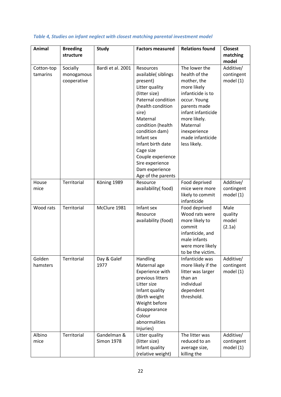| <b>Animal</b>          | <b>Breeding</b><br>structure          | <b>Study</b>                     | <b>Factors measured</b>                                                                                                                                                                                                                                                                                               | <b>Relations found</b>                                                                                                                                                                                                  | <b>Closest</b><br>matching<br>model    |
|------------------------|---------------------------------------|----------------------------------|-----------------------------------------------------------------------------------------------------------------------------------------------------------------------------------------------------------------------------------------------------------------------------------------------------------------------|-------------------------------------------------------------------------------------------------------------------------------------------------------------------------------------------------------------------------|----------------------------------------|
| Cotton-top<br>tamarins | Socially<br>monogamous<br>cooperative | Bardi et al. 2001                | Resources<br>available(siblings<br>present)<br>Litter quality<br>(litter size)<br>Paternal condition<br>(health condition<br>sire)<br>Maternal<br>condition (health<br>condition dam)<br>Infant sex<br>Infant birth date<br>Cage size<br>Couple experience<br>Sire experience<br>Dam experience<br>Age of the parents | The lower the<br>health of the<br>mother, the<br>more likely<br>infanticide is to<br>occur. Young<br>parents made<br>infant infanticide<br>more likely.<br>Maternal<br>inexperience<br>made infanticide<br>less likely. | Additive/<br>contingent<br>model $(1)$ |
| House<br>mice          | Territorial                           | Köning 1989                      | Resource<br>availability(food)                                                                                                                                                                                                                                                                                        | Food deprived<br>mice were more<br>likely to commit<br>infanticide                                                                                                                                                      | Additive/<br>contingent<br>model (1)   |
| Wood rats              | Territorial                           | McClure 1981                     | Infant sex<br>Resource<br>availability (food)                                                                                                                                                                                                                                                                         | Food deprived<br>Wood rats were<br>more likely to<br>commit<br>infanticide, and<br>male infants<br>were more likely<br>to be the victim.                                                                                | Male<br>quality<br>model<br>(2.1a)     |
| Golden<br>hamsters     | Territorial                           | Day & Galef<br>1977              | Handling<br>Maternal age<br>Experience with<br>previous litters<br>Litter size<br>Infant quality<br>(Birth weight<br>Weight before<br>disappearance<br>Colour<br>abnormalities<br>Injuries)                                                                                                                           | Infanticide was<br>more likely if the<br>litter was larger<br>than an<br>individual<br>dependent<br>threshold.                                                                                                          | Additive/<br>contingent<br>model (1)   |
| Albino<br>mice         | Territorial                           | Gandelman &<br><b>Simon 1978</b> | Litter quality<br>(litter size)<br>Infant quality<br>(relative weight)                                                                                                                                                                                                                                                | The litter was<br>reduced to an<br>average size,<br>killing the                                                                                                                                                         | Additive/<br>contingent<br>model (1)   |

## *Table 4, Studies on infant neglect with closest matching parental investment model*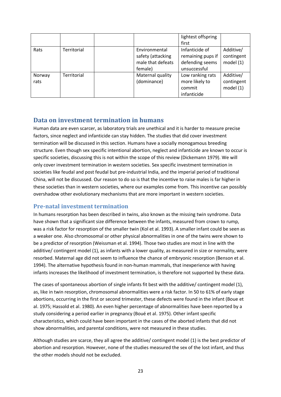|                |             |                                                                    | lightest offspring<br>first                                            |                                        |
|----------------|-------------|--------------------------------------------------------------------|------------------------------------------------------------------------|----------------------------------------|
| Rats           | Territorial | Environmental<br>safety (attacking<br>male that defeats<br>female) | Infanticide of<br>remaining pups if<br>defending seems<br>unsuccessful | Additive/<br>contingent<br>model $(1)$ |
| Norway<br>rats | Territorial | Maternal quality<br>(dominance)                                    | Low ranking rats<br>more likely to<br>commit<br>infanticide            | Additive/<br>contingent<br>model $(1)$ |

# <span id="page-22-0"></span>**Data on investment termination in humans**

Human data are even scarcer, as laboratory trials are unethical and it is harder to measure precise factors, since neglect and infanticide can stay hidden. The studies that did cover investment termination will be discussed in this section. Humans have a socially monogamous breeding structure. Even though sex specific intentional abortion, neglect and infanticide are known to occur is specific societies, discussing this is not within the scope of this review (Dickemann 1979). We will only cover investment termination in western societies. Sex specific investment termination in societies like feudal and post feudal but pre-industrial India, and the imperial period of traditional China, will not be discussed. Our reason to do so is that the incentive to raise males is far higher in these societies than in western societies, where our examples come from. This incentive can possibly overshadow other evolutionary mechanisms that are more important in western societies.

## <span id="page-22-1"></span>**Pre-natal investment termination**

In humans resorption has been described in twins, also known as the missing twin syndrome. Data have shown that a significant size difference between the infants, measured from crown to rump, was a risk factor for resorption of the smaller twin (Kol et al. 1993). A smaller infant could be seen as a weaker one. Also chromosomal or other physical abnormalities in one of the twins were shown to be a predictor of resorption (Weissman et al. 1994). Those two studies are most in line with the additive/ contingent model (1), as infants with a lower quality, as measured in size or normality, were resorbed. Maternal age did not seem to influence the chance of embryonic resorption (Benson et al. 1994). The alternative hypothesis found in non-human mammals, that inexperience with having infants increases the likelihood of investment termination, is therefore not supported by these data.

The cases of spontaneous abortion of single infants fit best with the additive/ contingent model (1), as, like in twin resorption, chromosomal abnormalities were a risk factor. In 50 to 61% of early stage abortions, occurring in the first or second trimester, these defects were found in the infant (Boue et al. 1975; Hassold et al. 1980). An even higher percentage of abnormalities have been reported by a study considering a period earlier in pregnancy (Boué et al. 1975). Other infant specific characteristics, which could have been important in the cases of the aborted infants that did not show abnormalities, and parental conditions, were not measured in these studies.

Although studies are scarce, they all agree the additive/ contingent model (1) is the best predictor of abortion and resorption. However, none of the studies measured the sex of the lost infant, and thus the other models should not be excluded.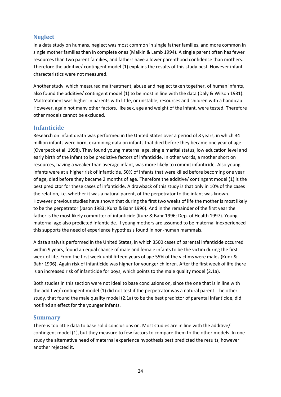## <span id="page-23-0"></span>**Neglect**

In a data study on humans, neglect was most common in single father families, and more common in single mother families than in complete ones (Malkin & Lamb 1994). A single parent often has fewer resources than two parent families, and fathers have a lower parenthood confidence than mothers. Therefore the additive/ contingent model (1) explains the results of this study best. However infant characteristics were not measured.

Another study, which measured maltreatment, abuse and neglect taken together, of human infants, also found the additive/ contingent model (1) to be most in line with the data (Daly & Wilson 1981). Maltreatment was higher in parents with little, or unstable, resources and children with a handicap. However, again not many other factors, like sex, age and weight of the infant, were tested. Therefore other models cannot be excluded.

## <span id="page-23-1"></span>**Infanticide**

Research on infant death was performed in the United States over a period of 8 years, in which 34 million infants were born, examining data on infants that died before they became one year of age (Overpeck et al. 1998). They found young maternal age, single marital status, low education level and early birth of the infant to be predictive factors of infanticide. In other words, a mother short on resources, having a weaker than average infant, was more likely to commit infanticide. Also young infants were at a higher risk of infanticide, 50% of infants that were killed before becoming one year of age, died before they became 2 months of age. Therefore the additive/ contingent model (1) is the best predictor for these cases of infanticide. A drawback of this study is that only in 10% of the cases the relation, i.e. whether it was a natural parent, of the perpetrator to the infant was known. However previous studies have shown that during the first two weeks of life the mother is most likely to be the perpetrator (Jason 1983; Kunz & Bahr 1996). And in the remainder of the first year the father is the most likely committer of infanticide (Kunz & Bahr 1996; Dep. of Health 1997). Young maternal age also predicted infanticide. If young mothers are assumed to be maternal inexperienced this supports the need of experience hypothesis found in non-human mammals.

A data analysis performed in the United States, in which 3500 cases of parental infanticide occurred within 9 years, found an equal chance of male and female infants to be the victim during the first week of life. From the first week until fifteen years of age 55% of the victims were males (Kunz & Bahr 1996). Again risk of infanticide was higher for younger children. After the first week of life there is an increased risk of infanticide for boys, which points to the male quality model (2.1a).

Both studies in this section were not ideal to base conclusions on, since the one that is in line with the additive/ contingent model (1) did not test if the perpetrator was a natural parent. The other study, that found the male quality model (2.1a) to be the best predictor of parental infanticide, did not find an effect for the younger infants.

## <span id="page-23-2"></span>**Summary**

There is too little data to base solid conclusions on. Most studies are in line with the additive/ contingent model (1), but they measure to few factors to compare them to the other models. In one study the alternative need of maternal experience hypothesis best predicted the results, however another rejected it.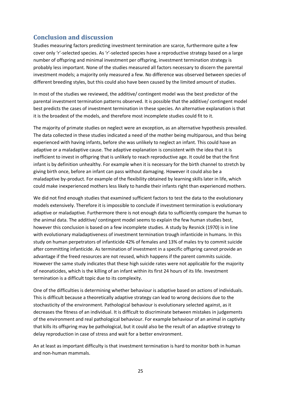# <span id="page-24-0"></span>**Conclusion and discussion**

Studies measuring factors predicting investment termination are scarce, furthermore quite a few cover only 'r'-selected species. As 'r'-selected species have a reproductive strategy based on a large number of offspring and minimal investment per offspring, investment termination strategy is probably less important. None of the studies measured all factors necessary to discern the parental investment models; a majority only measured a few. No difference was observed between species of different breeding styles, but this could also have been caused by the limited amount of studies.

In most of the studies we reviewed, the additive/ contingent model was the best predictor of the parental investment termination patterns observed. It is possible that the additive/ contingent model best predicts the cases of investment termination in these species. An alternative explanation is that it is the broadest of the models, and therefore most incomplete studies could fit to it.

The majority of primate studies on neglect were an exception, as an alternative hypothesis prevailed. The data collected in these studies indicated a need of the mother being multiparous, and thus being experienced with having infants, before she was unlikely to neglect an infant. This could have an adaptive or a maladaptive cause. The adaptive explanation is consistent with the idea that it is inefficient to invest in offspring that is unlikely to reach reproductive age. It could be that the first infant is by definition unhealthy. For example when it is necessary for the birth channel to stretch by giving birth once, before an infant can pass without damaging. However it could also be a maladaptive by-product. For example of the flexibility obtained by learning skills later in life, which could make inexperienced mothers less likely to handle their infants right than experienced mothers.

We did not find enough studies that examined sufficient factors to test the data to the evolutionary models extensively. Therefore it is impossible to conclude if investment termination is evolutionary adaptive or maladaptive. Furthermore there is not enough data to sufficiently compare the human to the animal data. The additive/ contingent model seems to explain the few human studies best, however this conclusion is based on a few incomplete studies. A study by Resnick (1970) is in line with evolutionary maladaptiveness of investment termination trough infanticide in humans. In this study on human perpetrators of infanticide 42% of females and 13% of males try to commit suicide after committing infanticide. As termination of investment in a specific offspring cannot provide an advantage if the freed resources are not reused, which happens if the parent commits suicide. However the same study indicates that these high suicide rates were not applicable for the majority of neonaticides, which is the killing of an infant within its first 24 hours of its life. Investment termination is a difficult topic due to its complexity.

One of the difficulties is determining whether behaviour is adaptive based on actions of individuals. This is difficult because a theoretically adaptive strategy can lead to wrong decisions due to the stochasticity of the environment. Pathological behaviour is evolutionary selected against, as it decreases the fitness of an individual. It is difficult to discriminate between mistakes in judgements of the environment and real pathological behaviour. For example behaviour of an animal in captivity that kills its offspring may be pathological, but it could also be the result of an adaptive strategy to delay reproduction in case of stress and wait for a better environment.

An at least as important difficulty is that investment termination is hard to monitor both in human and non-human mammals.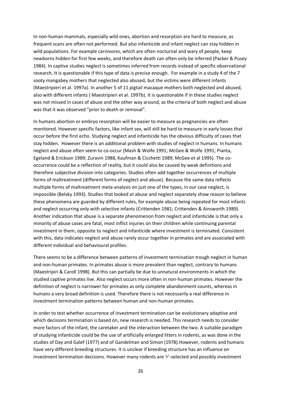In non-human mammals, especially wild ones, abortion and resorption are hard to measure, as frequent scans are often not performed. But also infanticide and infant neglect can stay hidden in wild populations. For example carnivores, which are often nocturnal and wary of people, keep newborns hidden for first few weeks, and therefore death can often only be inferred (Packer & Pusey 1984). In captive studies neglect is sometimes inferred from records instead of specific observational research. It is questionable if this type of data is precise enough. For example in a study 4 of the 7 sooty mangabey mothers that neglected also abused, but the victims were different infants (Maestripieri et al. 1997a). In another 5 of 11 pigtail macaque mothers both neglected and abused, also with different infants ( Maestripieri et al. 1997b). It is questionable if in these studies neglect was not missed in cases of abuse and the other way around, as the criteria of both neglect and abuse was that it was observed "prior to death or removal".

In humans abortion or embryo resorption will be easier to measure as pregnancies are often monitored. However specific factors, like infant sex, will still be hard to measure in early losses that occur before the first echo. Studying neglect and infanticide has the obvious difficulty of cases that stay hidden. However there is an additional problem with studies of neglect in humans. In humans neglect and abuse often seem to co-occur (Mash & Wolfe 1991; McGee & Wolfe 1991; Pianta, Egeland & Erickson 1989; Zuravin 1988, Kaufman & Cicchetti 1989; McGee et al 1995). The cooccurrence could be a reflection of reality, but it could also be caused by weak definitions and therefore subjective division into categories. Studies often add together occurrences of multiple forms of maltreatment (different forms of neglect and abuse). Because the same data reflects multiple forms of maltreatment meta-analysis on just one of the types, in our case neglect, is impossible (Belsky 1993). Studies that looked at abuse and neglect separately show reason to believe these phenomena are guarded by different rules, for example abuse being repeated for most infants and neglect occurring only with selective infants (Crittenden 1981; Crittenden & Ainsworth 1989). Another indication that abuse is a separate phenomenon from neglect and infanticide is that only a minority of abuse cases are fatal, most inflict injuries on their children while continuing parental investment in them, opposite to neglect and infanticide where investment is terminated. Consistent with this, data indicates neglect and abuse rarely occur together in primates and are associated with different individual and behavioural profiles.

There seems to be a difference between patterns of investment termination trough neglect in human and non-human primates. In primates abuse is more prevalent than neglect, contrary to humans (Maestripiri & Caroll 1998). But this can partially be due to unnatural environments in which the studied captive primates live. Also neglect occurs more often in non-human primates. However the definition of neglect is narrower for primates as only complete abandonment counts, whereas in humans a very broad definition is used. Therefore there is not necessarily a real difference in investment termination patterns between human and non-human primates.

In order to test whether occurrence of investment termination can be evolutionary adaptive and which decisions termination is based on, new research is needed. This research needs to consider more factors of the infant, the caretaker and the interaction between the two. A suitable paradigm of studying infanticide could be the use of artificially enlarged litters in rodents, as was done in the studies of Day and Galef (1977) and of Gandelman and Simon (1978).However, rodents and humans have very different breeding structures. It is unclear if breeding structure has an influence on investment termination decisions. However many rodents are 'r'-selected and possibly investment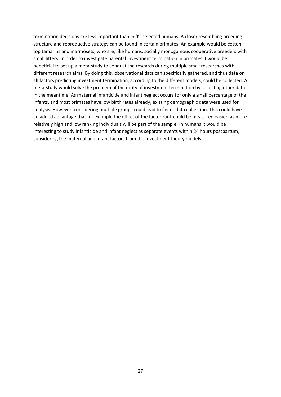termination decisions are less important than in 'K'-selected humans. A closer resembling breeding structure and reproductive strategy can be found in certain primates. An example would be cottontop tamarins and marmosets, who are, like humans, socially monogamous cooperative breeders with small litters. In order to investigate parental investment termination in primates it would be beneficial to set up a meta-study to conduct the research during multiple small researches with different research aims. By doing this, observational data can specifically gathered, and thus data on all factors predicting investment termination, according to the different models, could be collected. A meta-study would solve the problem of the rarity of investment termination by collecting other data in the meantime. As maternal infanticide and infant neglect occurs for only a small percentage of the infants, and most primates have low birth rates already, existing demographic data were used for analysis. However, considering multiple groups could lead to faster data collection. This could have an added advantage that for example the effect of the factor rank could be measured easier, as more relatively high and low ranking individuals will be part of the sample. In humans it would be interesting to study infanticide and infant neglect as separate events within 24 hours postpartum, considering the maternal and infant factors from the investment theory models.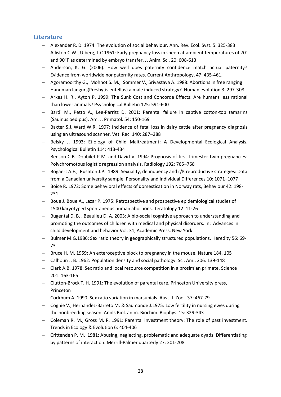## <span id="page-27-0"></span>**Literature**

- Alexander R. D. 1974: The evolution of social behaviour. Ann. Rev. Ecol. Syst. 5: 325-383
- $-$  Alliston C.W., Ulberg, L.C 1961: Early pregnancy loss in sheep at ambient temperatures of 70 $^{\circ}$ and 90"F as determined by embryo transfer. J. Anim. Sci. 20: 608-613
- Anderson, K. G. (2006). How well does paternity confidence match actual paternity? Evidence from worldwide nonpaternity rates. Current Anthropology, 47: 435-461.
- Agoramoorthy G., Mohnot S. M., Sommer V., Srivastava A. 1988: Abortions in free ranging Hanuman langurs(Presbytis entellus) a male induced strategy? Human evolution 3: 297-308
- Arkes H. R., Ayton P. 1999: The Sunk Cost and Concorde Effects: Are humans less rational than lower animals? Psychological Bulletin 125: 591-600
- Bardi M., Petto A., Lee-Parritz D. 2001: Parental failure in captive cotton-top tamarins (Sauinus oedipus). Am. J. Primatol. 54: 150-169
- Baxter S.J.,Ward,W.R. 1997: Incidence of fetal loss in dairy cattle after pregnancy diagnosis using an ultrasound scanner. Vet. Rec. 140: 287–288
- Belsky J. 1993: Etiology of Child Maltreatment: A Developmental–Ecological Analysis. Psychological Bulletin 114: 413-434
- Benson C.B. Doubilet P.M. and David V. 1994: Prognosis of first-trimester twin pregnancies: Polychromotous logistic regression analysis. Radiology 192: 765–768
- Bogaert A.F., Rushton J.P. 1989: Sexuality, delinquency and r/K reproductive strategies: Data from a Canadian university sample. Personality and Individual Differences 10: 1071–1077
- Boice R. 1972: Some behavioral effects of domestication in Norway rats, Behaviour 42: 198- 231
- Boue J. Boue A., Lazar P. 1975: Retrospective and prospective epidemiological studies of 1500 karyotyped spontaneous human abortions. Teratology 12: 11-26
- Bugental D. B., Beaulieu D. A. 2003: A bio-social cognitive approach to understanding and promoting the outcomes of children with medical and physical disorders. In: Advances in child development and behavior Vol. 31, Academic Press, New York
- Bulmer M.G.1986: Sex ratio theory in geographically structured populations. Heredity 56: 69-73
- Bruce H. M. 1959: An exteroceptive block to pregnancy in the mouse. Nature 184, 105
- Calhoun J. B. 1962: Population density and social pathology. Sci. Am., 206: 139-148
- Clark A.B. 1978: Sex ratio and local resource competition in a prosimian primate. Science 201: 163-165
- Clutton-Brock T. H. 1991: The evolution of parental care. Princeton University press, Princeton
- Cockbum A. 1990. Sex ratio variation in marsupials. Aust. J. Zool. 37: 467-79
- Cognie V., Hernandez-Barreto M. & Saumande J.1975: Low fertility in nursing ewes during the nonbreeding season. Annls Biol. anim. Biochim. Biophys. 15: 329-343
- Coleman R. M., Gross M. R. 1991: Parental investment theory: The role of past investment. Trends in Ecology & Evolution 6: 404-406
- Crittenden P. M. 1981: Abusing, neglecting, problematic and adequate dyads: Differentiating by patterns of interaction. Merrill-Palmer quarterly 27: 201-208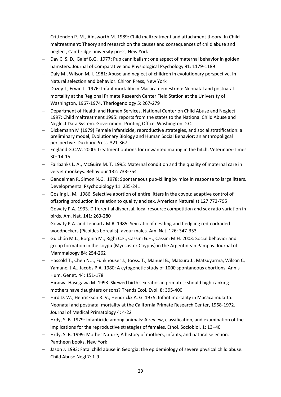- Crittenden P. M., Ainsworth M. 1989: Child maltreatment and attachment theory. In Child maltreatment: Theory and research on the causes and consequences of child abuse and neglect, Cambridge university press, New York
- Day C. S. D., Galef B.G. 1977: Pup cannibalism: one aspect of maternal behavior in golden hamsters. Journal of Comparative and Physiological Psychology 91: 1179-1189
- Daly M., Wilson M. I. 1981: Abuse and neglect of children in evolutionary perspective. In Natural selection and behavior. Chiron Press, New York
- Dazey J., Erwin J. 1976: Infant mortality in Macaca nemestrina: Neonatal and postnatal mortality at the Regional Primate Research Center Field Station at the University of Washington, 1967-1974. Theriogenology 5: 267-279
- Department of Health and Human Services, National Center on Child Abuse and Neglect 1997: Child maltreatment 1995: reports from the states to the National Child Abuse and Neglect Data System. Government Printing Office, Washington D.C.
- Dickemann M (1979) Female infanticide, reproductive strategies, and social stratification: a preliminary model, Evolutionary Biology and Human Social Behavior: an anthropoligcal perspective. Duxbury Press, 321-367
- England G.C.W. 2000: Treatment options for unwanted mating in the bitch. Veterinary-Times 30: 14-15
- Fairbanks L. A., McGuire M. T. 1995: Maternal condition and the quality of maternal care in vervet monkeys. Behaviour 132: 733-754
- Gandelman R, Simon N.G. 1978: Spontaneous pup-killing by mice in response to large litters. Developmental Psychobiology 11: 235-241
- Gosling L. M. 1986: Selective abortion of entire litters in the coypu: adaptive control of offspring production in relation to quality and sex. American Naturalist 127:772-795
- Gowaty P.A. 1993. Differential dispersal, local resource competition and sex ratio variation in birds. Am. Nat. 141: 263-280
- Gowaty P.A. and Lennartz M.R. 1985: Sex ratio of nestling and fledgling red-cockaded woodpeckers (Picoides borealis) favour males. Am. Nat. 126: 347-353
- Guichón M.L., Borgnia M., Righi C.F., Cassini G.H., Cassini M.H. 2003: Social behavior and group formation in the coypu (Myocastor Coypus) in the Argentinean Pampas. Journal of Mammaloogy 84: 254-262
- Hassold T., Chen N.J., Funkhouser J., Jooss. T., Manuel B., Matsura J., Matsuyarma, Wilson C, Yamane, J.A., Jacobs P.A. 1980: A cytogenetic study of 1000 spontaneous abortions. Annls Hum. Genet. 44: 151-178
- Hiraiwa-Hasegawa M. 1993. Skewed birth sex ratios in primates: should high-ranking mothers have daughters or sons? Trends Ecol. Evol. 8: 395-400
- Hird D. W., Henrickson R. V., Hendrickx A. G. 1975: Infant mortality in Macaca mulatta: Neonatal and postnatal mortality at the California Primate Research Center, 1968-1972. Journal of Medical Primatology 4: 4-22
- Hrdy, S. B. 1979: Infanticide among animals: A review, classification, and examination of the implications for the reproductive strategies of females. Ethol. Sociobiol. 1: 13–40
- Hrdy, S. B. 1999: Mother Nature; A history of mothers, infants, and natural selection. Pantheon books, New York
- Jason J. 1983: Fatal child abuse in Georgia: the epidemiology of severe physical child abuse. Child Abuse Negl 7: 1-9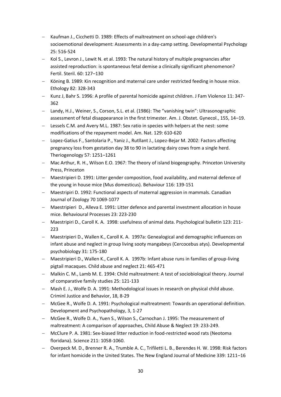- Kaufman J., Cicchetti D. 1989: Effects of maltreatment on school-age children's socioemotional development: Assessments in a day-camp setting. Developmental Psychology 25: 516-524
- Kol S., Levron J., Lewit N. et al. 1993: The natural history of multiple pregnancies after assisted reproduction: is spontaneous fetal demise a clinically significant phenomenon? Fertil. Steril. 60: 127–130
- Köning B. 1989: Kin recognition and maternal care under restricted feeding in house mice. Ethology 82: 328-343
- Kunz J, Bahr S. 1996: A profile of parental homicide against children. J Fam Violence 11: 347- 362
- Landy, H.J., Weiner, S., Corson, S.L. et al. (1986): The "vanishing twin": Ultrasonographic assessment of fetal disappearance in the first trimester. Am. J. Obstet. Gynecol., 155, 14–19.
- Lessels C.M. and Avery M.L. 1987: Sex ratio in species with helpers at the nest: some modifications of the repayment model. Am. Nat. 129: 610-620
- Lopez-Gatius F., Santolaria P., Yaniz J., Rutllant J., Lopez-Bejar M. 2002: Factors affecting pregnancy loss from gestation day 38 to 90 in lactating dairy cows from a single herd. Theriogenology 57: 1251–1261
- Mac Arthur, R. H., Wilson E.O. 1967: The theory of island biogeography. Princeton University Press, Princeton
- Maestripieri D. 1991: Litter gender composition, food availability, and maternal defence of the young in house mice (Mus domesticus). Behaviour 116: 139-151
- Maestripiri D. 1992: Functional aspects of maternal aggression in mammals. Canadian Journal of Zoology 70 1069-1077
- Maestripieri D., Alleva E. 1991: Litter defence and parental investment allocation in house mice. Behavioural Processes 23: 223-230
- Maestripiri D., Caroll K. A. 1998: usefulness of animal data. Psychological bulletin 123: 211- 223
- Maestripieri D., Wallen K., Caroll K. A. 1997a: Genealogical and demographic influences on infant abuse and neglect in group living sooty mangabeys (Cercocebus atys). Developmental psychobiology 31: 175-180
- Maestripieri D., Wallen K., Caroll K. A. 1997b: Infant abuse runs in families of group-living pigtail macaques. Child abuse and neglect 21: 465-471
- Malkin C. M., Lamb M. E. 1994: Child maltreatment: A test of sociobiological theory. Journal of comparative family studies 25: 121-133
- Mash E. J., Wolfe D. A. 1991: Methodological issues in research on physical child abuse. Criminl Justice and Behavior, 18, 8-29
- McGee R., Wolfe D. A. 1991: Psychological maltreatment: Towards an operational definition. Development and Psychopathology, 3, 1-27
- McGee R., Wolfe D. A., Yuen S., Wilson S., Carnochan J. 1995: The measurement of maltreatment: A comparison of approaches, Child Abuse & Neglect 19: 233-249.
- McClure P. A. 1981: Sex-biased litter reduction in food-restricted wood rats (Neotoma floridana). Science 211: 1058-1060.
- Overpeck M. D., Brenner R. A., Trumble A. C., Trifiletti L. B., Berendes H. W. 1998: Risk factors for infant homicide in the United States. The New England Journal of Medicine 339: 1211–16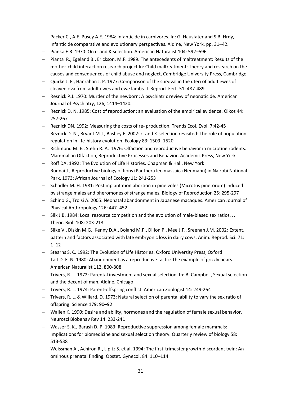- Packer C., A.E. Pusey A.E. 1984: Infanticide in carnivores. In: G. Hausfater and S.B. Hrdy, Infanticide comparative and evolutionary perspectives. Aldine, New York. pp. 31–42.
- Pianka E.R. 1970: On r- and K-selection. American Naturalist 104: 592–596
- Pianta R., Egeland B., Erickson, M.F. 1989. The antecedents of maltreatment: Results of the mother-child interaction research project In: Child maltreatment: Theory and research on the causes and consequences of child abuse and neglect, Cambridge University Press, Cambridge
- Quirke J. F., Hanrahan J. P. 1977: Comparison of the survival in the uteri of adult ewes of cleaved ova from adult ewes and ewe lambs. J. Reprod. Fert. 51: 487-489
- Resnick P.J. 1970: Murder of the newborn: A psychiatric review of neonaticide. American Journal of Psychiatry, 126, 1414–1420.
- Reznick D. N. 1985: Cost of reproduction: an evaluation of the empirical evidence. Oikos 44: 257-267
- Reznick DN. 1992: Measuring the costs of re- production. Trends Ecol. Evol. 7:42-45
- Reznick D. N., Bryant M.J., Bashey F. 2002: r- and K-selection revisited: The role of population regulation in life-history evolution. Ecology 83: 1509–1520
- Richmond M. E., Stehn R. A. 1976: Olfaction and reproductive behavior in microtine rodents. Mammalian Olfaction, Reproductive Processes and Behavior. Academic Press, New York
- Roff DA. 1992: The Evolution of Life Histories. Chapman & Hall, New York
- Rudnai J., Reproductive biology of lions (Panthera leo massaica Neumann) in Nairobi National Park, 1973: African Journal of Ecology 11: 241-253
- Schadler M. H. 1981: Postimplantation abortion in pine voles (Microtus pinetorum) induced by strange males and pheromones of strange males. Biology of Reproduction 25: 295-297
- Schino G., Troisi A. 2005: Neonatal abandonment in Japanese macaques. American Journal of Physical Anthropology 126: 447–452
- Silk J.B. 1984: Local resource competition and the evolution of male-biased sex ratios. J. Theor. Biol. 108: 203-213
- Silke V., Diskin M.G., Kenny D.A., Boland M.P., Dillon P., Mee J.F., Sreenan J.M. 2002: Extent, pattern and factors associated with late embryonic loss in dairy cows. Anim. Reprod. Sci. 71: 1–12
- Stearns S. C. 1992: The Evolution of Life Histories. Oxford University Press, Oxford
- Tait D. E. N. 1980: Abandonment as a reproductive tactic: The example of grizzly bears. American Naturalist 112, 800-808
- Trivers, R. L. 1972: Parental investment and sexual selection. In: B. Campbell, Sexual selection and the decent of man. Aldine, Chicago
- Trivers, R. L. 1974: Parent-offspring conflict. American Zoologist 14: 249-264
- Trivers, R. L. & Willard, D. 1973: Natural selection of parental ability to vary the sex ratio of offspring. Science 179: 90–92
- Wallen K. 1990: Desire and ability, hormones and the regulation of female sexual behavior. Neurosci Biobehav Rev 14: 233-241
- Wasser S. K., Barash D. P. 1983: Reproductive suppression among female mammals: Implications for biomedicine and sexual selection theory. Quarterly review of biology 58: 513-538
- Weissman A., Achiron R., Lipitz S. et al. 1994: The first-trimester growth-discordant twin: An ominous prenatal finding. Obstet. Gynecol. 84: 110–114